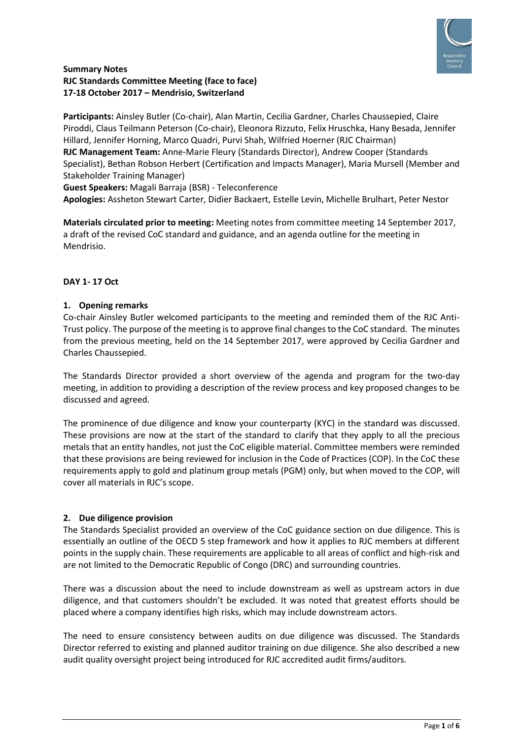

## **Summary Notes RJC Standards Committee Meeting (face to face) 17-18 October 2017 – Mendrisio, Switzerland**

**Participants:** Ainsley Butler (Co-chair), Alan Martin, Cecilia Gardner, Charles Chaussepied, Claire Piroddi, Claus Teilmann Peterson (Co-chair), Eleonora Rizzuto, Felix Hruschka, Hany Besada, Jennifer Hillard, Jennifer Horning, Marco Quadri, Purvi Shah, Wilfried Hoerner (RJC Chairman) **RJC Management Team:** Anne-Marie Fleury (Standards Director), Andrew Cooper (Standards Specialist), Bethan Robson Herbert (Certification and Impacts Manager), Maria Mursell (Member and Stakeholder Training Manager)

**Guest Speakers:** Magali Barraja (BSR) - Teleconference

**Apologies:** Assheton Stewart Carter, Didier Backaert, Estelle Levin, Michelle Brulhart, Peter Nestor

**Materials circulated prior to meeting:** Meeting notes from committee meeting 14 September 2017, a draft of the revised CoC standard and guidance, and an agenda outline for the meeting in Mendrisio.

## **DAY 1- 17 Oct**

## **1. Opening remarks**

Co-chair Ainsley Butler welcomed participants to the meeting and reminded them of the RJC Anti-Trust policy. The purpose of the meeting is to approve final changes to the CoC standard. The minutes from the previous meeting, held on the 14 September 2017, were approved by Cecilia Gardner and Charles Chaussepied.

The Standards Director provided a short overview of the agenda and program for the two-day meeting, in addition to providing a description of the review process and key proposed changes to be discussed and agreed.

The prominence of due diligence and know your counterparty (KYC) in the standard was discussed. These provisions are now at the start of the standard to clarify that they apply to all the precious metals that an entity handles, not just the CoC eligible material. Committee members were reminded that these provisions are being reviewed for inclusion in the Code of Practices (COP). In the CoC these requirements apply to gold and platinum group metals (PGM) only, but when moved to the COP, will cover all materials in RJC's scope.

#### **2. Due diligence provision**

The Standards Specialist provided an overview of the CoC guidance section on due diligence. This is essentially an outline of the OECD 5 step framework and how it applies to RJC members at different points in the supply chain. These requirements are applicable to all areas of conflict and high-risk and are not limited to the Democratic Republic of Congo (DRC) and surrounding countries.

There was a discussion about the need to include downstream as well as upstream actors in due diligence, and that customers shouldn't be excluded. It was noted that greatest efforts should be placed where a company identifies high risks, which may include downstream actors.

The need to ensure consistency between audits on due diligence was discussed. The Standards Director referred to existing and planned auditor training on due diligence. She also described a new audit quality oversight project being introduced for RJC accredited audit firms/auditors.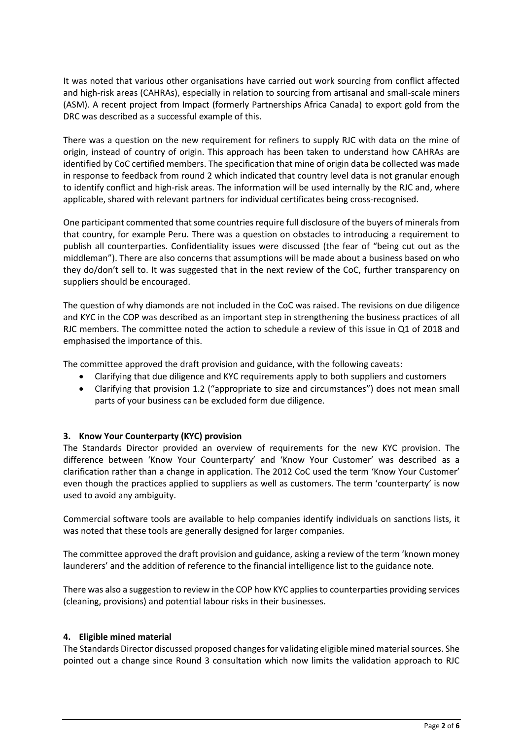It was noted that various other organisations have carried out work sourcing from conflict affected and high-risk areas (CAHRAs), especially in relation to sourcing from artisanal and small-scale miners (ASM). A recent project from Impact (formerly Partnerships Africa Canada) to export gold from the DRC was described as a successful example of this.

There was a question on the new requirement for refiners to supply RJC with data on the mine of origin, instead of country of origin. This approach has been taken to understand how CAHRAs are identified by CoC certified members. The specification that mine of origin data be collected was made in response to feedback from round 2 which indicated that country level data is not granular enough to identify conflict and high-risk areas. The information will be used internally by the RJC and, where applicable, shared with relevant partners for individual certificates being cross-recognised.

One participant commented that some countries require full disclosure of the buyers of minerals from that country, for example Peru. There was a question on obstacles to introducing a requirement to publish all counterparties. Confidentiality issues were discussed (the fear of "being cut out as the middleman"). There are also concerns that assumptions will be made about a business based on who they do/don't sell to. It was suggested that in the next review of the CoC, further transparency on suppliers should be encouraged.

The question of why diamonds are not included in the CoC was raised. The revisions on due diligence and KYC in the COP was described as an important step in strengthening the business practices of all RJC members. The committee noted the action to schedule a review of this issue in Q1 of 2018 and emphasised the importance of this.

The committee approved the draft provision and guidance, with the following caveats:

- Clarifying that due diligence and KYC requirements apply to both suppliers and customers
- Clarifying that provision 1.2 ("appropriate to size and circumstances") does not mean small parts of your business can be excluded form due diligence.

# **3. Know Your Counterparty (KYC) provision**

The Standards Director provided an overview of requirements for the new KYC provision. The difference between 'Know Your Counterparty' and 'Know Your Customer' was described as a clarification rather than a change in application. The 2012 CoC used the term 'Know Your Customer' even though the practices applied to suppliers as well as customers. The term 'counterparty' is now used to avoid any ambiguity.

Commercial software tools are available to help companies identify individuals on sanctions lists, it was noted that these tools are generally designed for larger companies.

The committee approved the draft provision and guidance, asking a review of the term 'known money launderers' and the addition of reference to the financial intelligence list to the guidance note.

There was also a suggestion to review in the COP how KYC applies to counterparties providing services (cleaning, provisions) and potential labour risks in their businesses.

#### **4. Eligible mined material**

The Standards Director discussed proposed changes for validating eligible mined materialsources. She pointed out a change since Round 3 consultation which now limits the validation approach to RJC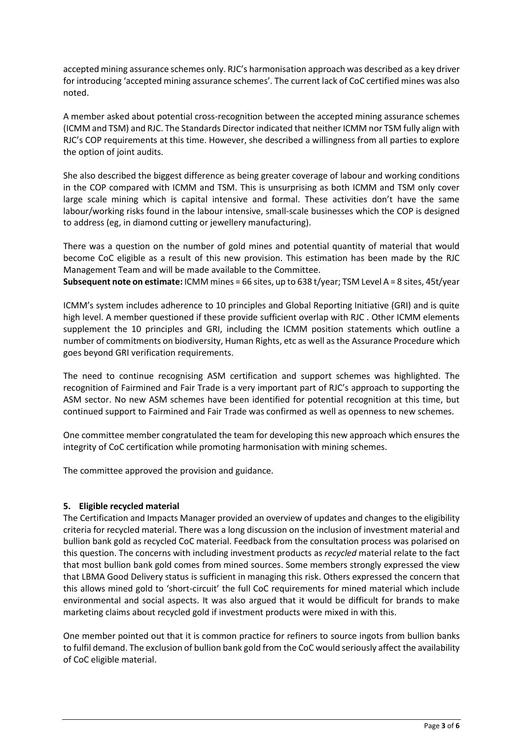accepted mining assurance schemes only. RJC's harmonisation approach was described as a key driver for introducing 'accepted mining assurance schemes'. The current lack of CoC certified mines was also noted.

A member asked about potential cross-recognition between the accepted mining assurance schemes (ICMM and TSM) and RJC. The Standards Director indicated that neither ICMM nor TSM fully align with RJC's COP requirements at this time. However, she described a willingness from all parties to explore the option of joint audits.

She also described the biggest difference as being greater coverage of labour and working conditions in the COP compared with ICMM and TSM. This is unsurprising as both ICMM and TSM only cover large scale mining which is capital intensive and formal. These activities don't have the same labour/working risks found in the labour intensive, small-scale businesses which the COP is designed to address (eg, in diamond cutting or jewellery manufacturing).

There was a question on the number of gold mines and potential quantity of material that would become CoC eligible as a result of this new provision. This estimation has been made by the RJC Management Team and will be made available to the Committee. **Subsequent note on estimate:** ICMM mines = 66 sites, up to 638 t/year; TSM Level A = 8 sites, 45t/year

ICMM's system includes adherence to 10 principles and Global Reporting Initiative (GRI) and is quite high level. A member questioned if these provide sufficient overlap with RJC . Other ICMM elements supplement the 10 principles and GRI, including the ICMM position statements which outline a number of commitments on biodiversity, Human Rights, etc as well as the Assurance Procedure which goes beyond GRI verification requirements.

The need to continue recognising ASM certification and support schemes was highlighted. The recognition of Fairmined and Fair Trade is a very important part of RJC's approach to supporting the ASM sector. No new ASM schemes have been identified for potential recognition at this time, but continued support to Fairmined and Fair Trade was confirmed as well as openness to new schemes.

One committee member congratulated the team for developing this new approach which ensures the integrity of CoC certification while promoting harmonisation with mining schemes.

The committee approved the provision and guidance.

# **5. Eligible recycled material**

The Certification and Impacts Manager provided an overview of updates and changes to the eligibility criteria for recycled material. There was a long discussion on the inclusion of investment material and bullion bank gold as recycled CoC material. Feedback from the consultation process was polarised on this question. The concerns with including investment products as *recycled* material relate to the fact that most bullion bank gold comes from mined sources. Some members strongly expressed the view that LBMA Good Delivery status is sufficient in managing this risk. Others expressed the concern that this allows mined gold to 'short-circuit' the full CoC requirements for mined material which include environmental and social aspects. It was also argued that it would be difficult for brands to make marketing claims about recycled gold if investment products were mixed in with this.

One member pointed out that it is common practice for refiners to source ingots from bullion banks to fulfil demand. The exclusion of bullion bank gold from the CoC would seriously affect the availability of CoC eligible material.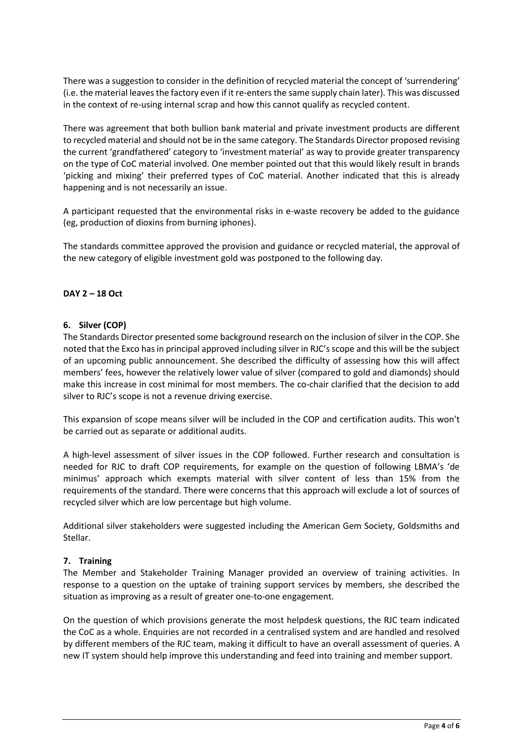There was a suggestion to consider in the definition of recycled material the concept of 'surrendering' (i.e. the material leavesthe factory even if it re-enters the same supply chain later). This was discussed in the context of re-using internal scrap and how this cannot qualify as recycled content.

There was agreement that both bullion bank material and private investment products are different to recycled material and should not be in the same category. The Standards Director proposed revising the current 'grandfathered' category to 'investment material' as way to provide greater transparency on the type of CoC material involved. One member pointed out that this would likely result in brands 'picking and mixing' their preferred types of CoC material. Another indicated that this is already happening and is not necessarily an issue.

A participant requested that the environmental risks in e-waste recovery be added to the guidance (eg, production of dioxins from burning iphones).

The standards committee approved the provision and guidance or recycled material, the approval of the new category of eligible investment gold was postponed to the following day.

# **DAY 2 – 18 Oct**

#### **6. Silver (COP)**

The Standards Director presented some background research on the inclusion of silver in the COP. She noted that the Exco has in principal approved including silver in RJC's scope and this will be the subject of an upcoming public announcement. She described the difficulty of assessing how this will affect members' fees, however the relatively lower value of silver (compared to gold and diamonds) should make this increase in cost minimal for most members. The co-chair clarified that the decision to add silver to RJC's scope is not a revenue driving exercise.

This expansion of scope means silver will be included in the COP and certification audits. This won't be carried out as separate or additional audits.

A high-level assessment of silver issues in the COP followed. Further research and consultation is needed for RJC to draft COP requirements, for example on the question of following LBMA's 'de minimus' approach which exempts material with silver content of less than 15% from the requirements of the standard. There were concerns that this approach will exclude a lot of sources of recycled silver which are low percentage but high volume.

Additional silver stakeholders were suggested including the American Gem Society, Goldsmiths and Stellar.

#### **7. Training**

The Member and Stakeholder Training Manager provided an overview of training activities. In response to a question on the uptake of training support services by members, she described the situation as improving as a result of greater one-to-one engagement.

On the question of which provisions generate the most helpdesk questions, the RJC team indicated the CoC as a whole. Enquiries are not recorded in a centralised system and are handled and resolved by different members of the RJC team, making it difficult to have an overall assessment of queries. A new IT system should help improve this understanding and feed into training and member support.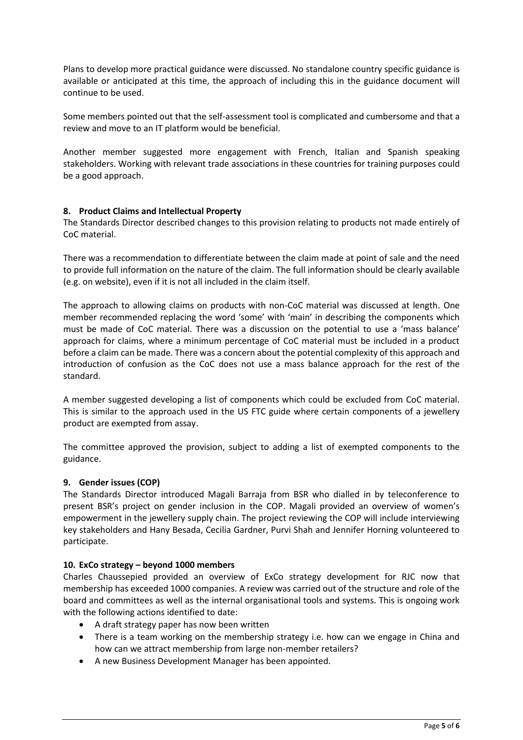Plans to develop more practical guidance were discussed. No standalone country specific guidance is available or anticipated at this time, the approach of including this in the guidance document will continue to be used.

Some members pointed out that the self-assessment tool is complicated and cumbersome and that a review and move to an IT platform would be beneficial.

Another member suggested more engagement with French, Italian and Spanish speaking stakeholders. Working with relevant trade associations in these countries for training purposes could be a good approach.

## **8. Product Claims and Intellectual Property**

The Standards Director described changes to this provision relating to products not made entirely of CoC material.

There was a recommendation to differentiate between the claim made at point of sale and the need to provide full information on the nature of the claim. The full information should be clearly available (e.g. on website), even if it is not all included in the claim itself.

The approach to allowing claims on products with non-CoC material was discussed at length. One member recommended replacing the word 'some' with 'main' in describing the components which must be made of CoC material. There was a discussion on the potential to use a 'mass balance' approach for claims, where a minimum percentage of CoC material must be included in a product before a claim can be made. There was a concern about the potential complexity of this approach and introduction of confusion as the CoC does not use a mass balance approach for the rest of the standard.

A member suggested developing a list of components which could be excluded from CoC material. This is similar to the approach used in the US FTC guide where certain components of a jewellery product are exempted from assay.

The committee approved the provision, subject to adding a list of exempted components to the guidance.

#### **9. Gender issues (COP)**

The Standards Director introduced Magali Barraja from BSR who dialled in by teleconference to present BSR's project on gender inclusion in the COP. Magali provided an overview of women's empowerment in the jewellery supply chain. The project reviewing the COP will include interviewing key stakeholders and Hany Besada, Cecilia Gardner, Purvi Shah and Jennifer Horning volunteered to participate.

#### **10. ExCo strategy – beyond 1000 members**

Charles Chaussepied provided an overview of ExCo strategy development for RJC now that membership has exceeded 1000 companies. A review was carried out of the structure and role of the board and committees as well as the internal organisational tools and systems. This is ongoing work with the following actions identified to date:

- A draft strategy paper has now been written
- There is a team working on the membership strategy i.e. how can we engage in China and how can we attract membership from large non-member retailers?
- A new Business Development Manager has been appointed.